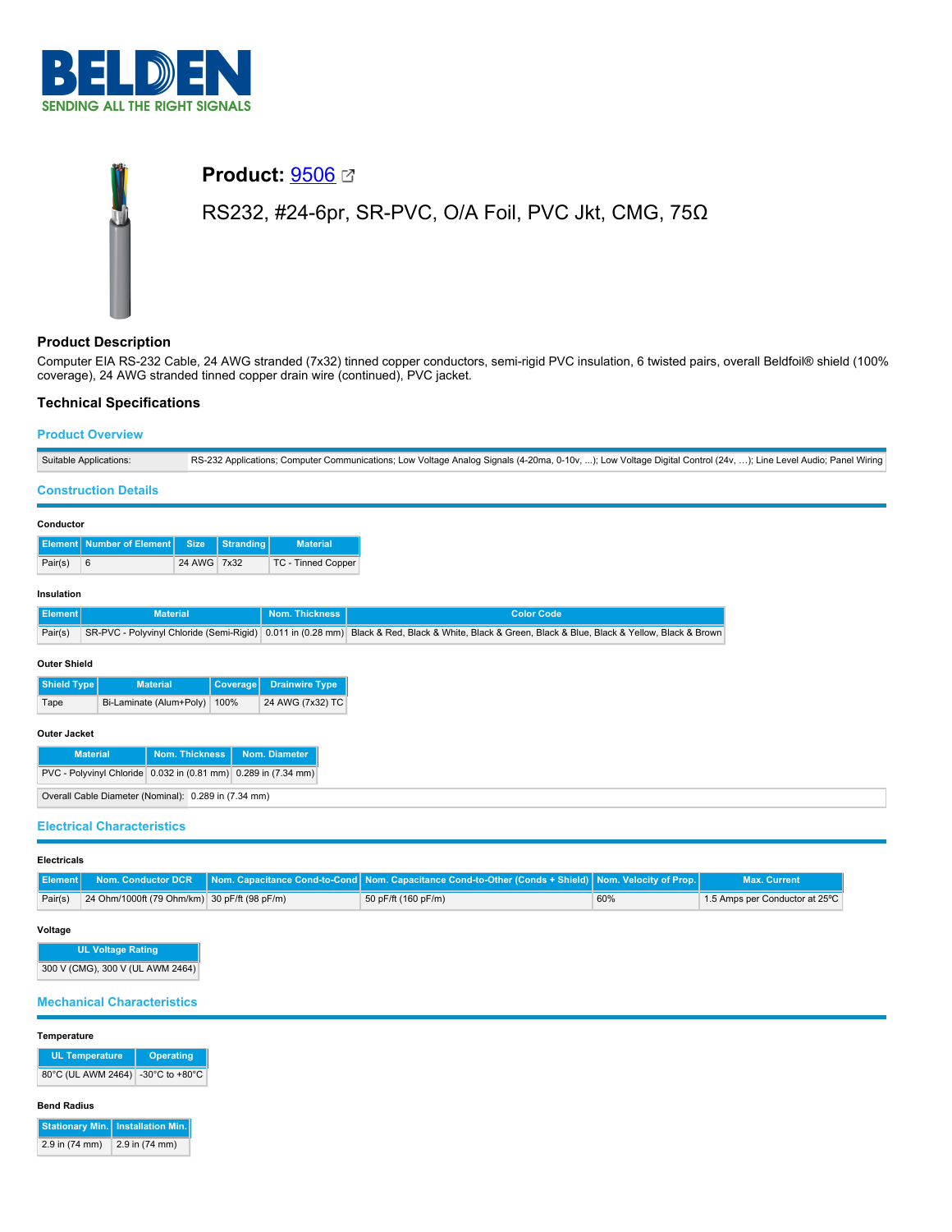

# **Product:** [9506](https://catalog.belden.com/index.cfm?event=pd&p=PF_9506&tab=downloads) RS232, #24-6pr, SR-PVC, O/A Foil, PVC Jkt, CMG, 75Ω

## **Product Description**

Computer EIA RS-232 Cable, 24 AWG stranded (7x32) tinned copper conductors, semi-rigid PVC insulation, 6 twisted pairs, overall Beldfoil® shield (100% coverage), 24 AWG stranded tinned copper drain wire (continued), PVC jacket.

# **Technical Specifications**

## **Product Overview**

| Suitable Applications:                                         |                                                           |             |                  | RS-232 Applications; Computer Communications; Low Voltage Analog Signals (4-20ma, 0-10v, ); Low Voltage Digital Control (24v, ); Line Level Audio; Panel Wiring |                                                                                                                                                    |  |
|----------------------------------------------------------------|-----------------------------------------------------------|-------------|------------------|-----------------------------------------------------------------------------------------------------------------------------------------------------------------|----------------------------------------------------------------------------------------------------------------------------------------------------|--|
| <b>Construction Details</b>                                    |                                                           |             |                  |                                                                                                                                                                 |                                                                                                                                                    |  |
| Conductor                                                      |                                                           |             |                  |                                                                                                                                                                 |                                                                                                                                                    |  |
| <b>Element</b>                                                 | <b>Number of Element</b>                                  | <b>Size</b> | <b>Stranding</b> | <b>Material</b>                                                                                                                                                 |                                                                                                                                                    |  |
| Pair(s)                                                        | 6                                                         | 24 AWG 7x32 |                  | TC - Tinned Copper                                                                                                                                              |                                                                                                                                                    |  |
| Insulation                                                     |                                                           |             |                  |                                                                                                                                                                 |                                                                                                                                                    |  |
| <b>Element</b>                                                 | <b>Material</b>                                           |             |                  | <b>Nom. Thickness</b>                                                                                                                                           | <b>Color Code</b>                                                                                                                                  |  |
| Pair(s)                                                        |                                                           |             |                  |                                                                                                                                                                 | SR-PVC - Polyvinyl Chloride (Semi-Rigid) 0.011 in (0.28 mm) Black & Red, Black & White, Black & Green, Black & Blue, Black & Yellow, Black & Brown |  |
| <b>Outer Shield</b>                                            |                                                           |             |                  |                                                                                                                                                                 |                                                                                                                                                    |  |
| <b>Shield Type</b>                                             | <b>Material</b>                                           |             | Coverage         | <b>Drainwire Type</b>                                                                                                                                           |                                                                                                                                                    |  |
| Tape                                                           | Bi-Laminate (Alum+Poly)                                   |             | 100%             | 24 AWG (7x32) TC                                                                                                                                                |                                                                                                                                                    |  |
| <b>Outer Jacket</b>                                            |                                                           |             |                  |                                                                                                                                                                 |                                                                                                                                                    |  |
|                                                                | <b>Nom. Thickness</b><br>Nom. Diameter<br><b>Material</b> |             |                  |                                                                                                                                                                 |                                                                                                                                                    |  |
| PVC - Polyvinyl Chloride 0.032 in (0.81 mm) 0.289 in (7.34 mm) |                                                           |             |                  |                                                                                                                                                                 |                                                                                                                                                    |  |
| Overall Cable Diameter (Nominal): 0.289 in (7.34 mm)           |                                                           |             |                  |                                                                                                                                                                 |                                                                                                                                                    |  |
| <b>Electrical Characteristics</b>                              |                                                           |             |                  |                                                                                                                                                                 |                                                                                                                                                    |  |

### **Electricals**

|         |                                              | <b>Element   Nom. Conductor DCR   Nom. Capacitance Cond-to-Cond   Nom. Capacitance Cond-to-Other (Conds + Shield)   Nom. Velocity of Prop.   ,</b> |     | Max. Current.                  |
|---------|----------------------------------------------|----------------------------------------------------------------------------------------------------------------------------------------------------|-----|--------------------------------|
| Pair(s) | 24 Ohm/1000ft (79 Ohm/km) 30 pF/ft (98 pF/m) | 50 pF/ft (160 pF/m)                                                                                                                                | 60% | 1.5 Amps per Conductor at 25°C |

## **Voltage**

**UL Voltage Rating** 300 V (CMG), 300 V (UL AWM 2464)

## **Mechanical Characteristics**

### **Temperature**

| <b>UL Temperature</b>             | <b>Operating</b> |  |  |
|-----------------------------------|------------------|--|--|
| 80°C (UL AWM 2464) -30°C to +80°C |                  |  |  |

#### **Bend Radius**

|                | Stationary Min.   Installation Min. |
|----------------|-------------------------------------|
| 2.9 in (74 mm) | 2.9 in (74 mm)                      |